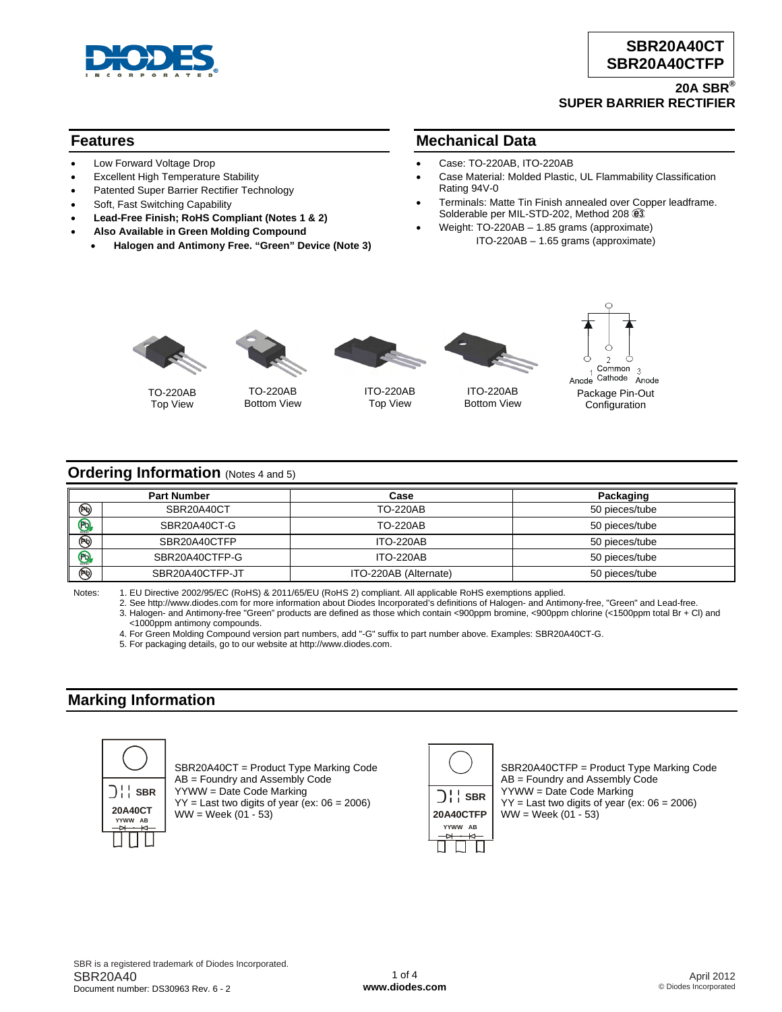

#### **20A SBR® SUPER BARRIER RECTIFIER**

### **Features**

- Low Forward Voltage Drop
- **Excellent High Temperature Stability**
- Patented Super Barrier Rectifier Technology
- Soft, Fast Switching Capability
- **Lead-Free Finish; RoHS Compliant (Notes 1 & 2)**
- **Also Available in Green Molding Compound**
	- **Halogen and Antimony Free. "Green" Device (Note 3)**

#### **Mechanical Data**

- Case: TO-220AB, ITO-220AB
- Case Material: Molded Plastic, UL Flammability Classification Rating 94V-0
- Terminals: Matte Tin Finish annealed over Copper leadframe. Solderable per MIL-STD-202, Method 208  $@3$
- Weight: TO-220AB 1.85 grams (approximate) ITO-220AB – 1.65 grams (approximate)





TO-220AB Top View

TO-220AB Bottom View



ITO-220AB Top View





#### **Ordering Information** (Notes 4 and 5)

|                         | <b>Part Number</b> | Case                  | Packaging      |
|-------------------------|--------------------|-----------------------|----------------|
| ☜                       | SBR20A40CT         | <b>TO-220AB</b>       | 50 pieces/tube |
| $\overline{\mathbf{B}}$ | SBR20A40CT-G       | <b>TO-220AB</b>       | 50 pieces/tube |
| $\circledast$           | SBR20A40CTFP       | <b>ITO-220AB</b>      | 50 pieces/tube |
| $\bigoplus$             | SBR20A40CTFP-G     | <b>ITO-220AB</b>      | 50 pieces/tube |
| $\circledR$             | SBR20A40CTFP-JT    | ITO-220AB (Alternate) | 50 pieces/tube |

Notes: 1. EU Directive 2002/95/EC (RoHS) & 2011/65/EU (RoHS 2) compliant. All applicable RoHS exemptions applied.

 2. See [http://www.diodes.com fo](http://www.diodes.com)r more information about Diodes Incorporated's definitions of Halogen- and Antimony-free, "Green" and Lead-free. 3. Halogen- and Antimony-free "Green" products are defined as those which contain <900ppm bromine, <900ppm chlorine (<1500ppm total Br + Cl) and

4. For Green Molding Compound version part numbers, add "-G" suffix to part number above. Examples: SBR20A40CT-G.

5. For packaging details, go to our website at [http://www.diodes.com.](http://www.diodes.com)

## **Marking Information**



SBR20A40CT = Product Type Marking Code AB = Foundry and Assembly Code YYWW = Date Code Marking  $YY =$  Last two digits of year (ex:  $06 = 2006$ )  $WW = Week (01 - 53)$ 



SBR20A40CTFP = Product Type Marking Code AB = Foundry and Assembly Code YYWW = Date Code Marking  $YY =$  Last two digits of year (ex:  $06 = 2006$ )  $WW = Week (01 - 53)$ 

 <sup>&</sup>lt;1000ppm antimony compounds.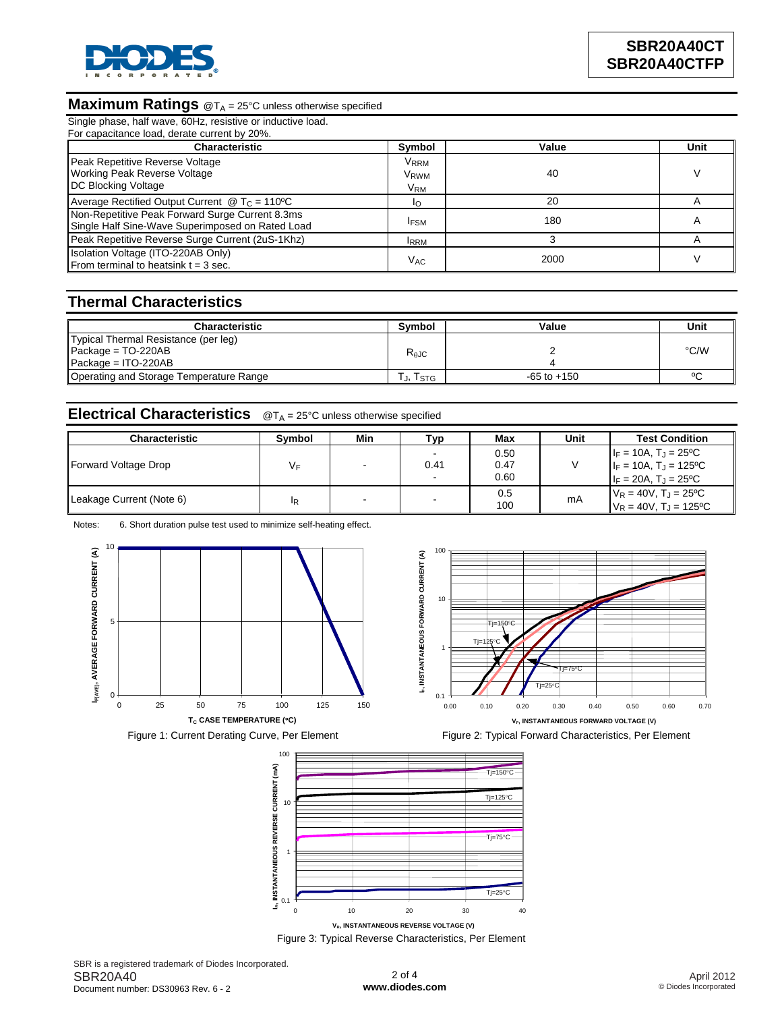

# **Maximum Ratings** @T<sub>A</sub> = 25°C unless otherwise specified

| Single phase, half wave, 60Hz, resistive or inductive load.<br>For capacitance load, derate current by 20%. |                                                    |       |      |  |
|-------------------------------------------------------------------------------------------------------------|----------------------------------------------------|-------|------|--|
| <b>Characteristic</b>                                                                                       | Symbol                                             | Value | Unit |  |
| Peak Repetitive Reverse Voltage<br><b>Working Peak Reverse Voltage</b><br>DC Blocking Voltage               | <b>VRRM</b><br>V <sub>RWM</sub><br>V <sub>RM</sub> | 40    | v    |  |
| Average Rectified Output Current $\omega T_c = 110^{\circ}C$                                                |                                                    | 20    | А    |  |
| Non-Repetitive Peak Forward Surge Current 8.3ms<br>Single Half Sine-Wave Superimposed on Rated Load         | <b>IFSM</b>                                        | 180   | A    |  |
| Peak Repetitive Reverse Surge Current (2uS-1Khz)                                                            | <b>IRRM</b>                                        |       | А    |  |
| Isolation Voltage (ITO-220AB Only)<br>From terminal to heatsink $t = 3$ sec.                                | V <sub>AC</sub>                                    | 2000  |      |  |

### **Thermal Characteristics**

| <b>Characteristic</b>                                                                 | Symbol         | Value           | Unit |
|---------------------------------------------------------------------------------------|----------------|-----------------|------|
| Typical Thermal Resistance (per leg)<br>Package = $TO-220AB$<br>$Package = ITO-220AB$ | $R_{\theta$ JC |                 | °C/W |
| Operating and Storage Temperature Range                                               | J, Istg        | $-65$ to $+150$ | ٥٢   |

# **Electrical Characteristics** @T<sub>A</sub> = 25°C unless otherwise specified

| Characteristic           | <b>Symbol</b> | Min | ⊤ур  | Max  | Unit | <b>Test Condition</b>              |
|--------------------------|---------------|-----|------|------|------|------------------------------------|
|                          |               |     |      | 0.50 |      | $I_F = 10A$ , $T_J = 25^{\circ}C$  |
| Forward Voltage Drop     | VF            |     | 0.41 | 0.47 |      | $I_F = 10A$ , $T_J = 125$ °C       |
|                          |               |     | -    | 0.60 |      | $I_F = 20A$ , $T_J = 25^{\circ}C$  |
|                          | ΙR            |     |      | 0.5  | mA   | $V_R = 40V$ , $T_J = 25^{\circ}C$  |
| Leakage Current (Note 6) |               |     |      | 100  |      | $V_R = 40V$ , $T_d = 125^{\circ}C$ |

Notes: 6. Short duration pulse test used to minimize self-heating effect.









Figure 3: Typical Reverse Characteristics, Per Element

SBR is a registered trademark of Diodes Incorporated. SBR20A40 Document number: DS30963 Rev. 6 - 2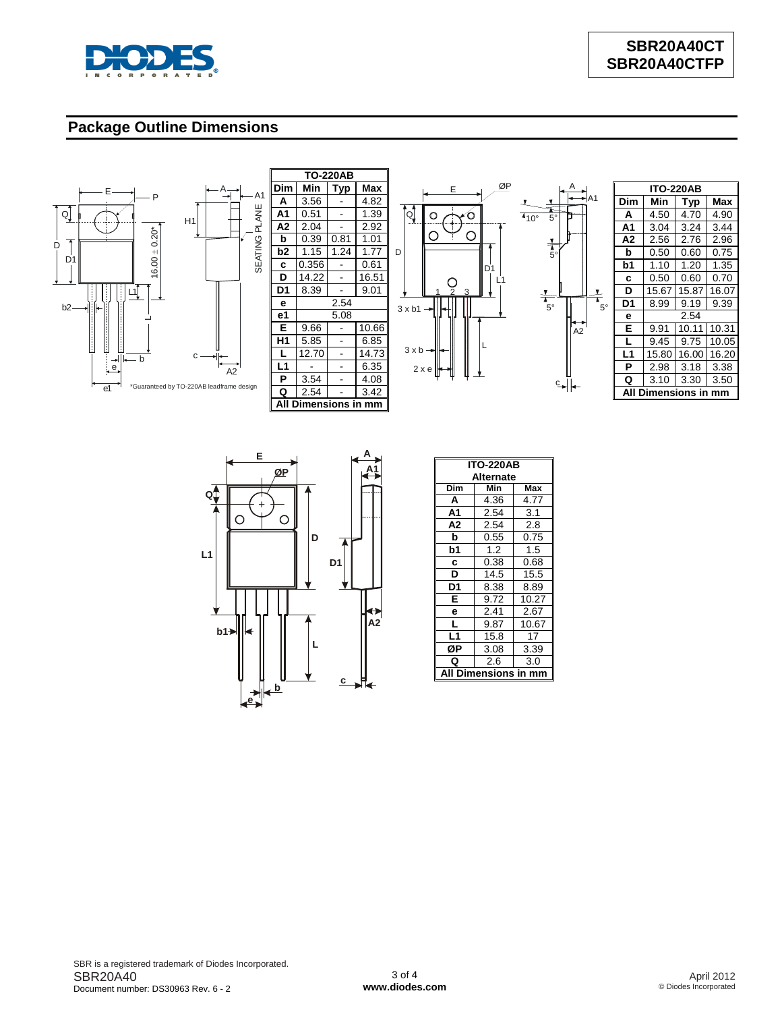

# **Package Outline Dimensions**







|                                        |                                  | <b>ITO-220AB</b> |       |            |  |
|----------------------------------------|----------------------------------|------------------|-------|------------|--|
| A1                                     | Dim                              | Min              | Typ   | <b>Max</b> |  |
|                                        | A                                | 4.50             | 4.70  | 4.90       |  |
|                                        | A1                               | 3.04             | 3.24  | 3.44       |  |
|                                        | A2                               | 2.56             | 2.76  | 2.96       |  |
|                                        | b                                | 0.50             | 0.60  | 0.75       |  |
|                                        | b1                               | 1.10             | 1.20  | 1.35       |  |
|                                        | C                                | 0.50             | 0.60  | 0.70       |  |
| $\frac{1}{\overline{1}}$ <sub>5°</sub> | D                                | 15.67            | 15.87 | 16.07      |  |
|                                        | D1                               | 8.99             | 9.19  | 9.39       |  |
|                                        | е                                | 2.54             |       |            |  |
|                                        | E                                | 9.91             | 10.11 | 10.31      |  |
|                                        | L                                | 9.45             | 9.75  | 10.05      |  |
|                                        | L <sub>1</sub>                   | 15.80            | 16.00 | 16.20      |  |
|                                        | P                                | 2.98             | 3.18  | 3.38       |  |
|                                        | Q                                | 3.10             | 3.30  | 3.50       |  |
|                                        | A١<br><b>Dimensions in</b><br>mm |                  |       |            |  |

A2



| <b>ITO-220AB</b>       |      |       |  |  |  |
|------------------------|------|-------|--|--|--|
| <b>Alternate</b>       |      |       |  |  |  |
| Dim                    | Min  | Max   |  |  |  |
| A                      | 4.36 | 4.77  |  |  |  |
| A1                     | 2.54 | 3.1   |  |  |  |
| A2                     | 2.54 | 2.8   |  |  |  |
| b                      | 0.55 | 0.75  |  |  |  |
| b1                     | 1.2  | 1.5   |  |  |  |
| c                      | 0.38 | 0.68  |  |  |  |
| D                      | 14.5 | 15.5  |  |  |  |
| D1                     | 8.38 | 8.89  |  |  |  |
| E                      | 9.72 | 10.27 |  |  |  |
| e                      | 2.41 | 2.67  |  |  |  |
| L                      | 9.87 | 10.67 |  |  |  |
| L1                     | 15.8 | 17    |  |  |  |
| ØР                     | 3.08 | 3.39  |  |  |  |
| Q                      | 2.6  | 3.0   |  |  |  |
| A<br>mensions in<br>Di |      |       |  |  |  |